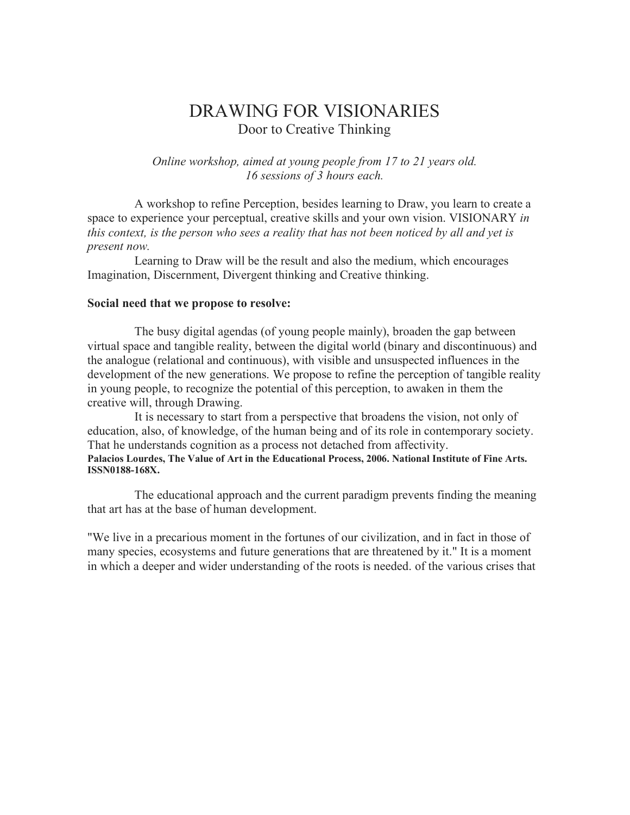# DRAWING FOR VISIONARIES Door to Creative Thinking

*Online workshop, aimed at young people from 17 to 21 years old. 16 sessions of 3 hours each.*

A workshop to refine Perception, besides learning to Draw, you learn to create a space to experience your perceptual, creative skills and your own vision. VISIONARY *in this context, is the person who sees a reality that has not been noticed by all and yet is present now.*

Learning to Draw will be the result and also the medium, which encourages Imagination, Discernment, Divergent thinking and Creative thinking.

#### **Social need that we propose to resolve:**

The busy digital agendas (of young people mainly), broaden the gap between virtual space and tangible reality, between the digital world (binary and discontinuous) and the analogue (relational and continuous), with visible and unsuspected influences in the development of the new generations. We propose to refine the perception of tangible reality in young people, to recognize the potential of this perception, to awaken in them the creative will, through Drawing.

It is necessary to start from a perspective that broadens the vision, not only of education, also, of knowledge, of the human being and of its role in contemporary society. That he understands cognition as a process not detached from affectivity. **Palacios Lourdes, The Value of Art in the Educational Process, 2006. National Institute of Fine Arts. ISSN0188-168X.**

The educational approach and the current paradigm prevents finding the meaning that art has at the base of human development.

"We live in a precarious moment in the fortunes of our civilization, and in fact in those of many species, ecosystems and future generations that are threatened by it." It is a moment in which a deeper and wider understanding of the roots is needed. of the various crises that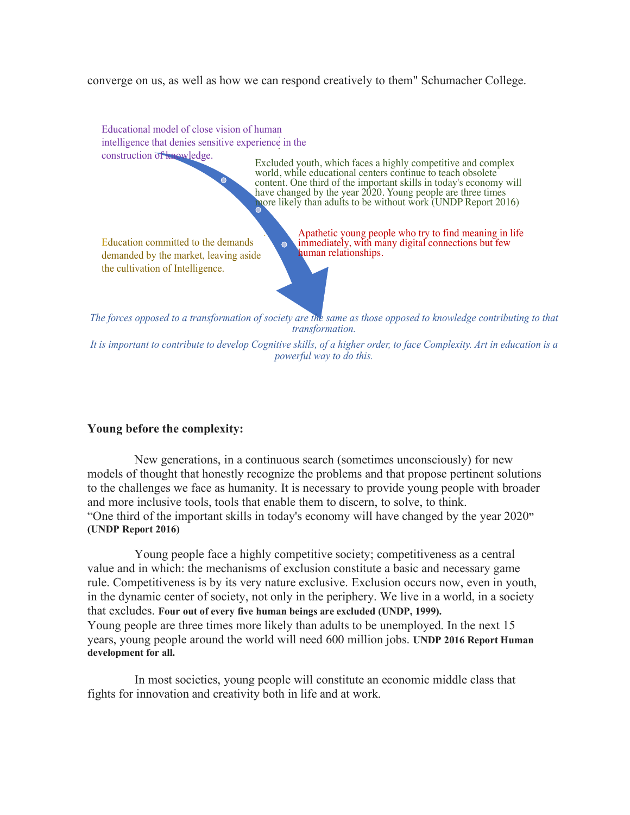converge on us, as well as how we can respond creatively to them" Schumacher College.

. . intelligence that denies sensitive experience in the Educational model of close vision of human construction of knowledge.

Excluded youth, which faces a highly competitive and complex world, while educational centers continue to teach obsolete content. One third of the important skills in today's economy will have changed by the year 2020. Young people are three times more likely than adults to be without work (UNDP Report 2016)

Education committed to the demands demanded by the market, leaving aside the cultivation of Intelligence.

*.* Apathetic young people who try to find meaning in life immediately, with many digital connections but few human relationships.

*The forces opposed to a transformation of society are the same as those opposed to knowledge contributing to that transformation.*

*It is important to contribute to develop Cognitive skills, of a higher order, to face Complexity. Art in education is a powerful way to do this.*

## **Young before the complexity:**

New generations, in a continuous search (sometimes unconsciously) for new models of thought that honestly recognize the problems and that propose pertinent solutions to the challenges we face as humanity. It is necessary to provide young people with broader and more inclusive tools, tools that enable them to discern, to solve, to think. "One third of the important skills in today's economy will have changed by the year 2020**" (UNDP Report 2016)**

Young people face a highly competitive society; competitiveness as a central value and in which: the mechanisms of exclusion constitute a basic and necessary game rule. Competitiveness is by its very nature exclusive. Exclusion occurs now, even in youth, in the dynamic center of society, not only in the periphery. We live in a world, in a society that excludes. **Four out of every five human beings are excluded (UNDP, 1999).** Young people are three times more likely than adults to be unemployed. In the next 15 years, young people around the world will need 600 million jobs. **UNDP 2016 Report Human development for all.**

In most societies, young people will constitute an economic middle class that fights for innovation and creativity both in life and at work.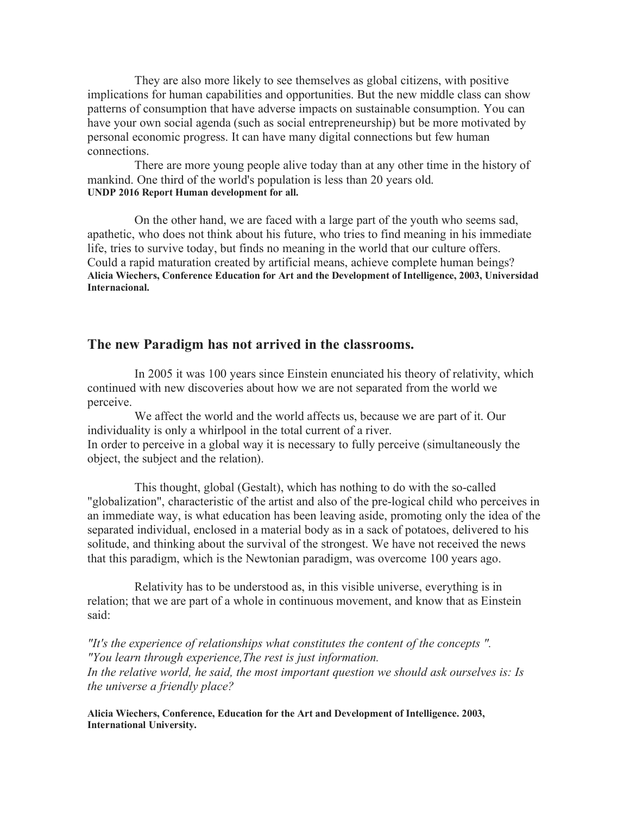They are also more likely to see themselves as global citizens, with positive implications for human capabilities and opportunities. But the new middle class can show patterns of consumption that have adverse impacts on sustainable consumption. You can have your own social agenda (such as social entrepreneurship) but be more motivated by personal economic progress. It can have many digital connections but few human connections.

There are more young people alive today than at any other time in the history of mankind. One third of the world's population is less than 20 years old. **UNDP 2016 Report Human development for all.**

On the other hand, we are faced with a large part of the youth who seems sad, apathetic, who does not think about his future, who tries to find meaning in his immediate life, tries to survive today, but finds no meaning in the world that our culture offers. Could a rapid maturation created by artificial means, achieve complete human beings? **Alicia Wiechers, Conference Education for Art and the Development of Intelligence, 2003, Universidad Internacional.**

# **The new Paradigm has not arrived in the classrooms.**

In 2005 it was 100 years since Einstein enunciated his theory of relativity, which continued with new discoveries about how we are not separated from the world we perceive.

We affect the world and the world affects us, because we are part of it. Our individuality is only a whirlpool in the total current of a river. In order to perceive in a global way it is necessary to fully perceive (simultaneously the object, the subject and the relation).

This thought, global (Gestalt), which has nothing to do with the so-called "globalization", characteristic of the artist and also of the pre-logical child who perceives in an immediate way, is what education has been leaving aside, promoting only the idea of the separated individual, enclosed in a material body as in a sack of potatoes, delivered to his solitude, and thinking about the survival of the strongest. We have not received the news that this paradigm, which is the Newtonian paradigm, was overcome 100 years ago.

Relativity has to be understood as, in this visible universe, everything is in relation; that we are part of a whole in continuous movement, and know that as Einstein said:

*"It's the experience of relationships what constitutes the content of the concepts ". "You learn through experience,The rest is just information. In the relative world, he said, the most important question we should ask ourselves is: Is the universe a friendly place?*

**Alicia Wiechers, Conference, Education for the Art and Development of Intelligence. 2003, International University.**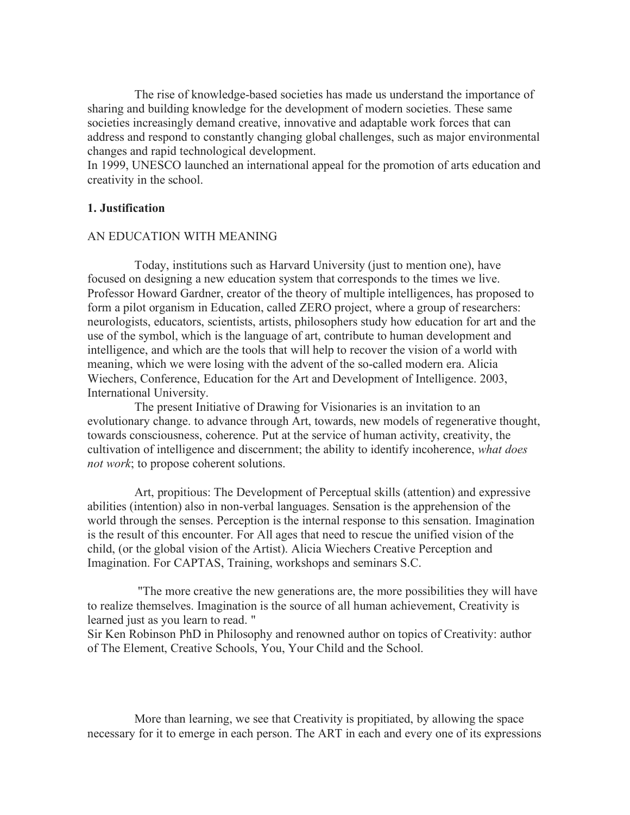The rise of knowledge-based societies has made us understand the importance of sharing and building knowledge for the development of modern societies. These same societies increasingly demand creative, innovative and adaptable work forces that can address and respond to constantly changing global challenges, such as major environmental changes and rapid technological development.

In 1999, UNESCO launched an international appeal for the promotion of arts education and creativity in the school.

#### **1. Justification**

### AN EDUCATION WITH MEANING

Today, institutions such as Harvard University (just to mention one), have focused on designing a new education system that corresponds to the times we live. Professor Howard Gardner, creator of the theory of multiple intelligences, has proposed to form a pilot organism in Education, called ZERO project, where a group of researchers: neurologists, educators, scientists, artists, philosophers study how education for art and the use of the symbol, which is the language of art, contribute to human development and intelligence, and which are the tools that will help to recover the vision of a world with meaning, which we were losing with the advent of the so-called modern era. Alicia Wiechers, Conference, Education for the Art and Development of Intelligence. 2003, International University.

The present Initiative of Drawing for Visionaries is an invitation to an evolutionary change. to advance through Art, towards, new models of regenerative thought, towards consciousness, coherence. Put at the service of human activity, creativity, the cultivation of intelligence and discernment; the ability to identify incoherence, *what does not work*; to propose coherent solutions.

Art, propitious: The Development of Perceptual skills (attention) and expressive abilities (intention) also in non-verbal languages. Sensation is the apprehension of the world through the senses. Perception is the internal response to this sensation. Imagination is the result of this encounter. For All ages that need to rescue the unified vision of the child, (or the global vision of the Artist). Alicia Wiechers Creative Perception and Imagination. For CAPTAS, Training, workshops and seminars S.C.

"The more creative the new generations are, the more possibilities they will have to realize themselves. Imagination is the source of all human achievement, Creativity is learned just as you learn to read. "

Sir Ken Robinson PhD in Philosophy and renowned author on topics of Creativity: author of The Element, Creative Schools, You, Your Child and the School.

More than learning, we see that Creativity is propitiated, by allowing the space necessary for it to emerge in each person. The ART in each and every one of its expressions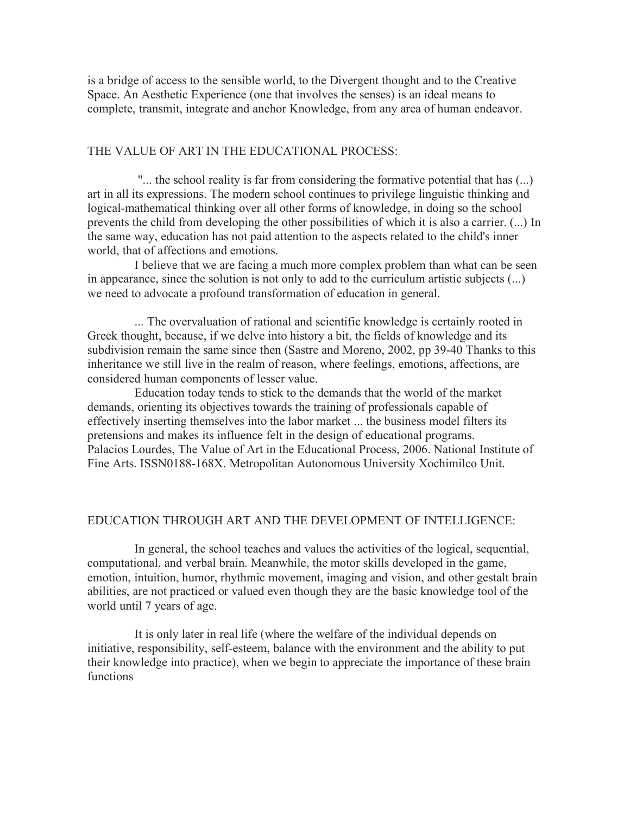is a bridge of access to the sensible world, to the Divergent thought and to the Creative Space. An Aesthetic Experience (one that involves the senses) is an ideal means to complete, transmit, integrate and anchor Knowledge, from any area of human endeavor.

#### THE VALUE OF ART IN THE EDUCATIONAL PROCESS:

"... the school reality is far from considering the formative potential that has (...) art in all its expressions. The modern school continues to privilege linguistic thinking and logical-mathematical thinking over all other forms of knowledge, in doing so the school prevents the child from developing the other possibilities of which it is also a carrier. (...) In the same way, education has not paid attention to the aspects related to the child's inner world, that of affections and emotions.

I believe that we are facing a much more complex problem than what can be seen in appearance, since the solution is not only to add to the curriculum artistic subjects (...) we need to advocate a profound transformation of education in general.

... The overvaluation of rational and scientific knowledge is certainly rooted in Greek thought, because, if we delve into history a bit, the fields of knowledge and its subdivision remain the same since then (Sastre and Moreno, 2002, pp 39-40 Thanks to this inheritance we still live in the realm of reason, where feelings, emotions, affections, are considered human components of lesser value.

Education today tends to stick to the demands that the world of the market demands, orienting its objectives towards the training of professionals capable of effectively inserting themselves into the labor market ... the business model filters its pretensions and makes its influence felt in the design of educational programs. Palacios Lourdes, The Value of Art in the Educational Process, 2006. National Institute of Fine Arts. ISSN0188-168X. Metropolitan Autonomous University Xochimilco Unit.

# EDUCATION THROUGH ART AND THE DEVELOPMENT OF INTELLIGENCE:

In general, the school teaches and values the activities of the logical, sequential, computational, and verbal brain. Meanwhile, the motor skills developed in the game, emotion, intuition, humor, rhythmic movement, imaging and vision, and other gestalt brain abilities, are not practiced or valued even though they are the basic knowledge tool of the world until 7 years of age.

It is only later in real life (where the welfare of the individual depends on initiative, responsibility, self-esteem, balance with the environment and the ability to put their knowledge into practice), when we begin to appreciate the importance of these brain functions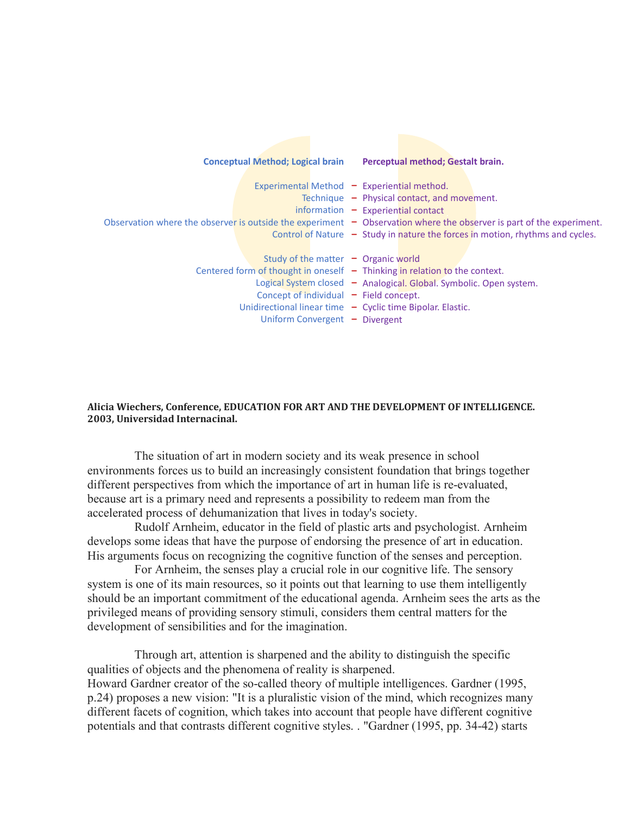| <b>Conceptual Method; Logical brain</b>                                      | Perceptual method; Gestalt brain.                                                                                                                                                                                                       |
|------------------------------------------------------------------------------|-----------------------------------------------------------------------------------------------------------------------------------------------------------------------------------------------------------------------------------------|
|                                                                              | Experimental Method - Experiential method.<br>Technique $-$ Physical contact, and movement.<br>$information - Experimental contact$                                                                                                     |
| Study of the matter $\,$ $\sim$ Organic world                                | Observation where the observer is outside the experiment $-$ Observation where the observer is part of the experiment.<br>Control of Nature $-$ Study in nature the forces in motion, rhythms and cycles.                               |
| Concept of individual $-$ Field concept.<br>Uniform Convergent $-$ Divergent | Centered form of thought in oneself $-$ Thinking in relation to the context.<br>Logical System closed - Analogical. Global. Symbolic. Open system.<br>Unidirectional linear time $\overline{\phantom{a}}$ Cyclic time Bipolar. Elastic. |

#### Alicia Wiechers, Conference, EDUCATION FOR ART AND THE DEVELOPMENT OF INTELLIGENCE. **2003, Universidad Internacinal.**

The situation of art in modern society and its weak presence in school environments forces us to build an increasingly consistent foundation that brings together different perspectives from which the importance of art in human life is re-evaluated, because art is a primary need and represents a possibility to redeem man from the accelerated process of dehumanization that lives in today's society.

Rudolf Arnheim, educator in the field of plastic arts and psychologist. Arnheim develops some ideas that have the purpose of endorsing the presence of art in education. His arguments focus on recognizing the cognitive function of the senses and perception.

For Arnheim, the senses play a crucial role in our cognitive life. The sensory system is one of its main resources, so it points out that learning to use them intelligently should be an important commitment of the educational agenda. Arnheim sees the arts as the privileged means of providing sensory stimuli, considers them central matters for the development of sensibilities and for the imagination.

Through art, attention is sharpened and the ability to distinguish the specific qualities of objects and the phenomena of reality is sharpened. Howard Gardner creator of the so-called theory of multiple intelligences. Gardner (1995, p.24) proposes a new vision: "It is a pluralistic vision of the mind, which recognizes many different facets of cognition, which takes into account that people have different cognitive potentials and that contrasts different cognitive styles. . "Gardner (1995, pp. 34-42) starts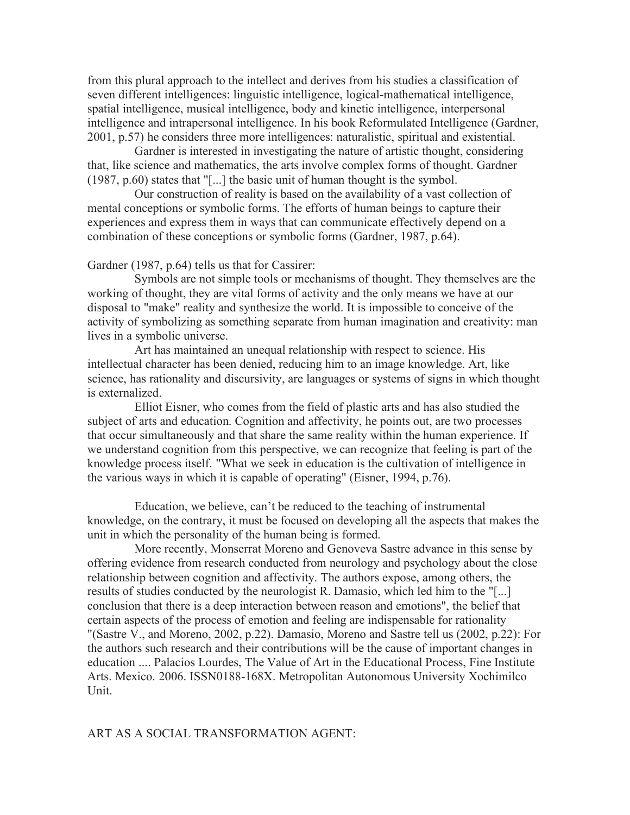from this plural approach to the intellect and derives from his studies a classification of seven different intelligences: linguistic intelligence, logical-mathematical intelligence, spatial intelligence, musical intelligence, body and kinetic intelligence, interpersonal intelligence and intrapersonal intelligence. In his book Reformulated Intelligence (Gardner, 2001, p.57) he considers three more intelligences: naturalistic, spiritual and existential.

Gardner is interested in investigating the nature of artistic thought, considering that, like science and mathematics, the arts involve complex forms of thought. Gardner (1987, p.60) states that "[...] the basic unit of human thought is the symbol.

Our construction of reality is based on the availability of a vast collection of mental conceptions or symbolic forms. The efforts of human beings to capture their experiences and express them in ways that can communicate effectively depend on a combination of these conceptions or symbolic forms (Gardner, 1987, p.64).

Gardner (1987, p.64) tells us that for Cassirer:

Symbols are not simple tools or mechanisms of thought. They themselves are the working of thought, they are vital forms of activity and the only means we have at our disposal to "make" reality and synthesize the world. It is impossible to conceive of the activity of symbolizing as something separate from human imagination and creativity: man lives in a symbolic universe.

Art has maintained an unequal relationship with respect to science. His intellectual character has been denied, reducing him to an image knowledge. Art, like science, has rationality and discursivity, are languages or systems of signs in which thought is externalized.

Elliot Eisner, who comes from the field of plastic arts and has also studied the subject of arts and education. Cognition and affectivity, he points out, are two processes that occur simultaneously and that share the same reality within the human experience. If we understand cognition from this perspective, we can recognize that feeling is part of the knowledge process itself. "What we seek in education is the cultivation of intelligence in the various ways in which it is capable of operating" (Eisner, 1994, p.76).

Education, we believe, can't be reduced to the teaching of instrumental knowledge, on the contrary, it must be focused on developing all the aspects that makes the unit in which the personality of the human being is formed.

More recently, Monserrat Moreno and Genoveva Sastre advance in this sense by offering evidence from research conducted from neurology and psychology about the close relationship between cognition and affectivity. The authors expose, among others, the results of studies conducted by the neurologist R. Damasio, which led him to the "[...] conclusion that there is a deep interaction between reason and emotions", the belief that certain aspects of the process of emotion and feeling are indispensable for rationality "(Sastre V., and Moreno, 2002, p.22). Damasio, Moreno and Sastre tell us (2002, p.22): For the authors such research and their contributions will be the cause of important changes in education .... Palacios Lourdes, The Value of Art in the Educational Process, Fine Institute Arts. Mexico. 2006. ISSN0188-168X. Metropolitan Autonomous University Xochimilco Unit.

#### ART AS A SOCIAL TRANSFORMATION AGENT: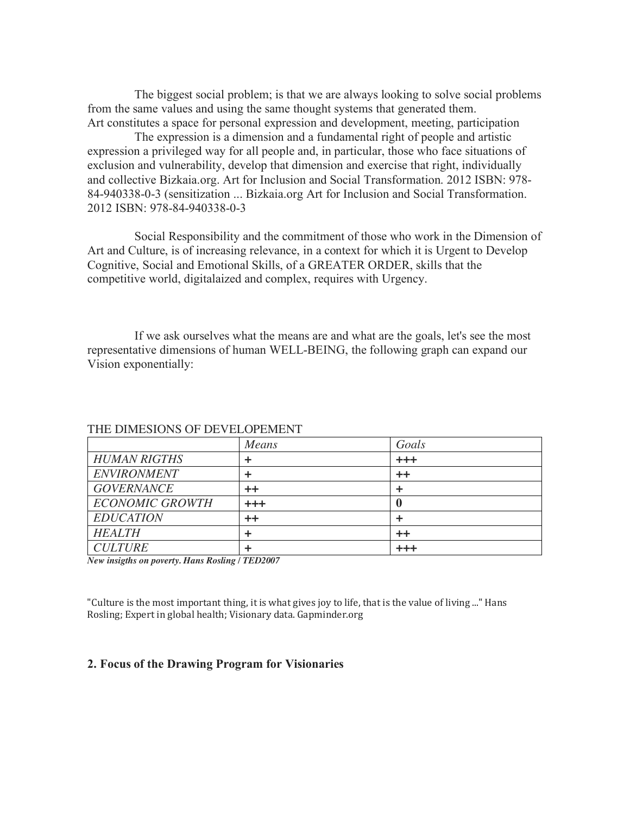The biggest social problem; is that we are always looking to solve social problems from the same values and using the same thought systems that generated them. Art constitutes a space for personal expression and development, meeting, participation

The expression is a dimension and a fundamental right of people and artistic expression a privileged way for all people and, in particular, those who face situations of exclusion and vulnerability, develop that dimension and exercise that right, individually and collective Bizkaia.org. Art for Inclusion and Social Transformation. 2012 ISBN: 978- 84-940338-0-3 (sensitization ... Bizkaia.org Art for Inclusion and Social Transformation. 2012 ISBN: 978-84-940338-0-3

Social Responsibility and the commitment of those who work in the Dimension of Art and Culture, is of increasing relevance, in a context for which it is Urgent to Develop Cognitive, Social and Emotional Skills, of a GREATER ORDER, skills that the competitive world, digitalaized and complex, requires with Urgency.

If we ask ourselves what the means are and what are the goals, let's see the most representative dimensions of human WELL-BEING, the following graph can expand our Vision exponentially:

|                        | Means            | Goals     |
|------------------------|------------------|-----------|
| <b>HUMAN RIGTHS</b>    | ٠                | $^{+++}$  |
| <b>ENVIRONMENT</b>     | ÷                | $++$      |
| <b>GOVERNANCE</b>      | $++$             |           |
| <b>ECONOMIC GROWTH</b> | $^{+++}$         |           |
| <b>EDUCATION</b>       | $^{\mathrm{++}}$ |           |
| <b>HEALTH</b>          |                  | ++        |
| <b>CULTURE</b>         |                  | المراكب ك |

#### THE DIMESIONS OF DEVELOPEMENT

*New insigths on poverty. Hans Rosling / TED2007*

"Culture is the most important thing, it is what gives joy to life, that is the value of living ..." Hans Rosling; Expert in global health; Visionary data. Gapminder.org

#### **2. Focus of the Drawing Program for Visionaries**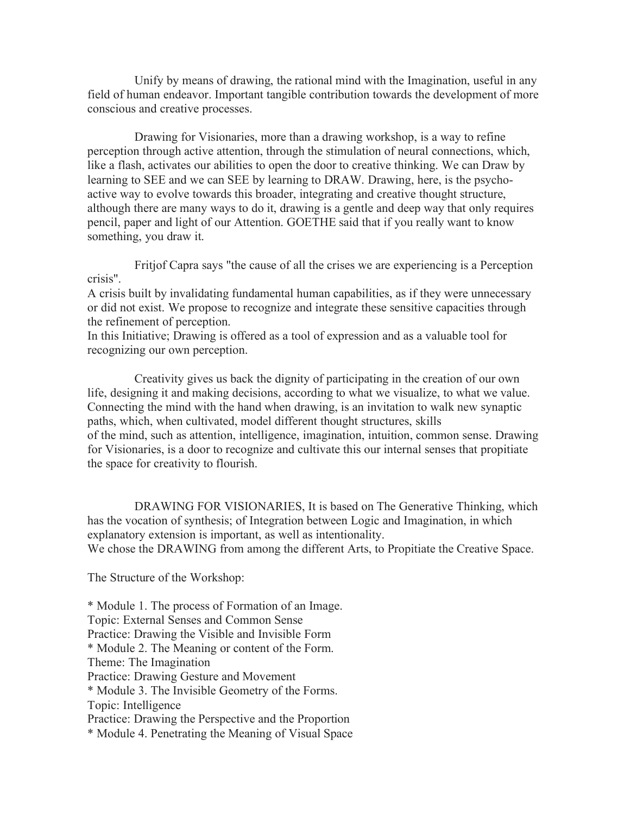Unify by means of drawing, the rational mind with the Imagination, useful in any field of human endeavor. Important tangible contribution towards the development of more conscious and creative processes.

Drawing for Visionaries, more than a drawing workshop, is a way to refine perception through active attention, through the stimulation of neural connections, which, like a flash, activates our abilities to open the door to creative thinking. We can Draw by learning to SEE and we can SEE by learning to DRAW. Drawing, here, is the psychoactive way to evolve towards this broader, integrating and creative thought structure, although there are many ways to do it, drawing is a gentle and deep way that only requires pencil, paper and light of our Attention. GOETHE said that if you really want to know something, you draw it.

Fritjof Capra says "the cause of all the crises we are experiencing is a Perception crisis".

A crisis built by invalidating fundamental human capabilities, as if they were unnecessary or did not exist. We propose to recognize and integrate these sensitive capacities through the refinement of perception.

In this Initiative; Drawing is offered as a tool of expression and as a valuable tool for recognizing our own perception.

Creativity gives us back the dignity of participating in the creation of our own life, designing it and making decisions, according to what we visualize, to what we value. Connecting the mind with the hand when drawing, is an invitation to walk new synaptic paths, which, when cultivated, model different thought structures, skills of the mind, such as attention, intelligence, imagination, intuition, common sense. Drawing for Visionaries, is a door to recognize and cultivate this our internal senses that propitiate the space for creativity to flourish.

DRAWING FOR VISIONARIES, It is based on The Generative Thinking, which has the vocation of synthesis; of Integration between Logic and Imagination, in which explanatory extension is important, as well as intentionality. We chose the DRAWING from among the different Arts, to Propitiate the Creative Space.

The Structure of the Workshop:

\* Module 1. The process of Formation of an Image. Topic: External Senses and Common Sense Practice: Drawing the Visible and Invisible Form \* Module 2. The Meaning or content of the Form. Theme: The Imagination Practice: Drawing Gesture and Movement \* Module 3. The Invisible Geometry of the Forms. Topic: Intelligence Practice: Drawing the Perspective and the Proportion \* Module 4. Penetrating the Meaning of Visual Space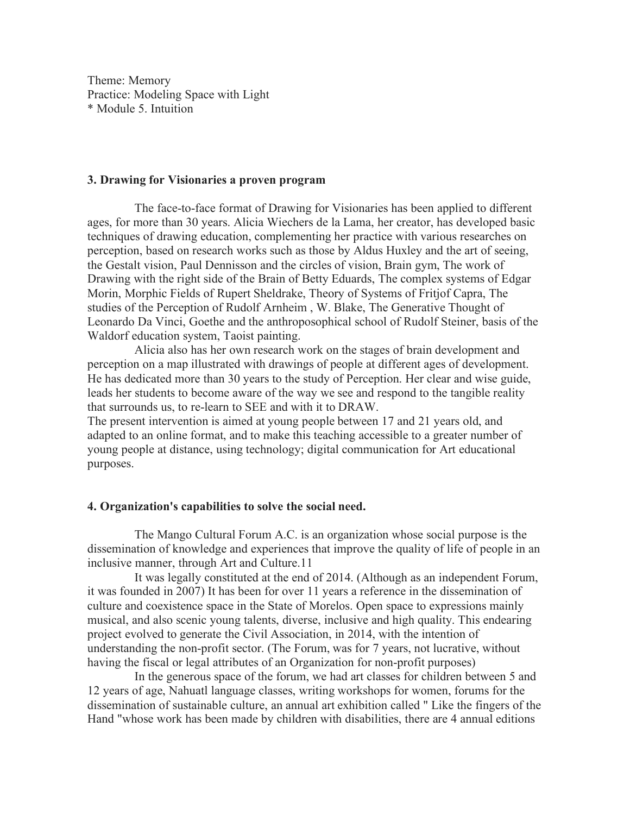Theme: Memory Practice: Modeling Space with Light \* Module 5. Intuition

#### **3. Drawing for Visionaries a proven program**

The face-to-face format of Drawing for Visionaries has been applied to different ages, for more than 30 years. Alicia Wiechers de la Lama, her creator, has developed basic techniques of drawing education, complementing her practice with various researches on perception, based on research works such as those by Aldus Huxley and the art of seeing, the Gestalt vision, Paul Dennisson and the circles of vision, Brain gym, The work of Drawing with the right side of the Brain of Betty Eduards, The complex systems of Edgar Morin, Morphic Fields of Rupert Sheldrake, Theory of Systems of Fritjof Capra, The studies of the Perception of Rudolf Arnheim , W. Blake, The Generative Thought of Leonardo Da Vinci, Goethe and the anthroposophical school of Rudolf Steiner, basis of the Waldorf education system, Taoist painting.

Alicia also has her own research work on the stages of brain development and perception on a map illustrated with drawings of people at different ages of development. He has dedicated more than 30 years to the study of Perception. Her clear and wise guide, leads her students to become aware of the way we see and respond to the tangible reality that surrounds us, to re-learn to SEE and with it to DRAW.

The present intervention is aimed at young people between 17 and 21 years old, and adapted to an online format, and to make this teaching accessible to a greater number of young people at distance, using technology; digital communication for Art educational purposes.

#### **4. Organization's capabilities to solve the social need.**

The Mango Cultural Forum A.C. is an organization whose social purpose is the dissemination of knowledge and experiences that improve the quality of life of people in an inclusive manner, through Art and Culture.11

It was legally constituted at the end of 2014. (Although as an independent Forum, it was founded in 2007) It has been for over 11 years a reference in the dissemination of culture and coexistence space in the State of Morelos. Open space to expressions mainly musical, and also scenic young talents, diverse, inclusive and high quality. This endearing project evolved to generate the Civil Association, in 2014, with the intention of understanding the non-profit sector. (The Forum, was for 7 years, not lucrative, without having the fiscal or legal attributes of an Organization for non-profit purposes)

In the generous space of the forum, we had art classes for children between 5 and 12 years of age, Nahuatl language classes, writing workshops for women, forums for the dissemination of sustainable culture, an annual art exhibition called " Like the fingers of the Hand "whose work has been made by children with disabilities, there are 4 annual editions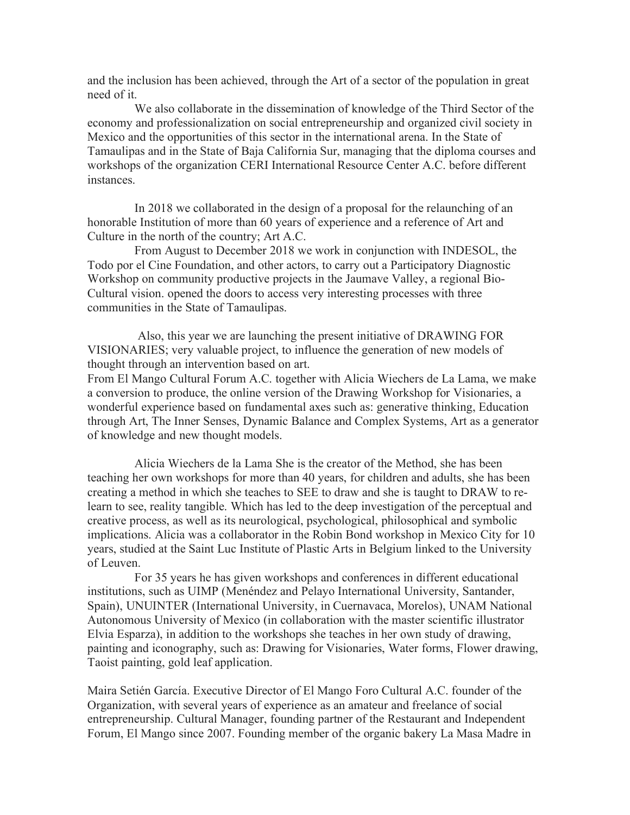and the inclusion has been achieved, through the Art of a sector of the population in great need of it.

We also collaborate in the dissemination of knowledge of the Third Sector of the economy and professionalization on social entrepreneurship and organized civil society in Mexico and the opportunities of this sector in the international arena. In the State of Tamaulipas and in the State of Baja California Sur, managing that the diploma courses and workshops of the organization CERI International Resource Center A.C. before different instances.

In 2018 we collaborated in the design of a proposal for the relaunching of an honorable Institution of more than 60 years of experience and a reference of Art and Culture in the north of the country; Art A.C.

From August to December 2018 we work in conjunction with INDESOL, the Todo por el Cine Foundation, and other actors, to carry out a Participatory Diagnostic Workshop on community productive projects in the Jaumave Valley, a regional Bio-Cultural vision. opened the doors to access very interesting processes with three communities in the State of Tamaulipas.

Also, this year we are launching the present initiative of DRAWING FOR VISIONARIES; very valuable project, to influence the generation of new models of thought through an intervention based on art.

From El Mango Cultural Forum A.C. together with Alicia Wiechers de La Lama, we make a conversion to produce, the online version of the Drawing Workshop for Visionaries, a wonderful experience based on fundamental axes such as: generative thinking, Education through Art, The Inner Senses, Dynamic Balance and Complex Systems, Art as a generator of knowledge and new thought models.

Alicia Wiechers de la Lama She is the creator of the Method, she has been teaching her own workshops for more than 40 years, for children and adults, she has been creating a method in which she teaches to SEE to draw and she is taught to DRAW to relearn to see, reality tangible. Which has led to the deep investigation of the perceptual and creative process, as well as its neurological, psychological, philosophical and symbolic implications. Alicia was a collaborator in the Robin Bond workshop in Mexico City for 10 years, studied at the Saint Luc Institute of Plastic Arts in Belgium linked to the University of Leuven.

For 35 years he has given workshops and conferences in different educational institutions, such as UIMP (Menéndez and Pelayo International University, Santander, Spain), UNUINTER (International University, in Cuernavaca, Morelos), UNAM National Autonomous University of Mexico (in collaboration with the master scientific illustrator Elvia Esparza), in addition to the workshops she teaches in her own study of drawing, painting and iconography, such as: Drawing for Visionaries, Water forms, Flower drawing, Taoist painting, gold leaf application.

Maira Setién García. Executive Director of El Mango Foro Cultural A.C. founder of the Organization, with several years of experience as an amateur and freelance of social entrepreneurship. Cultural Manager, founding partner of the Restaurant and Independent Forum, El Mango since 2007. Founding member of the organic bakery La Masa Madre in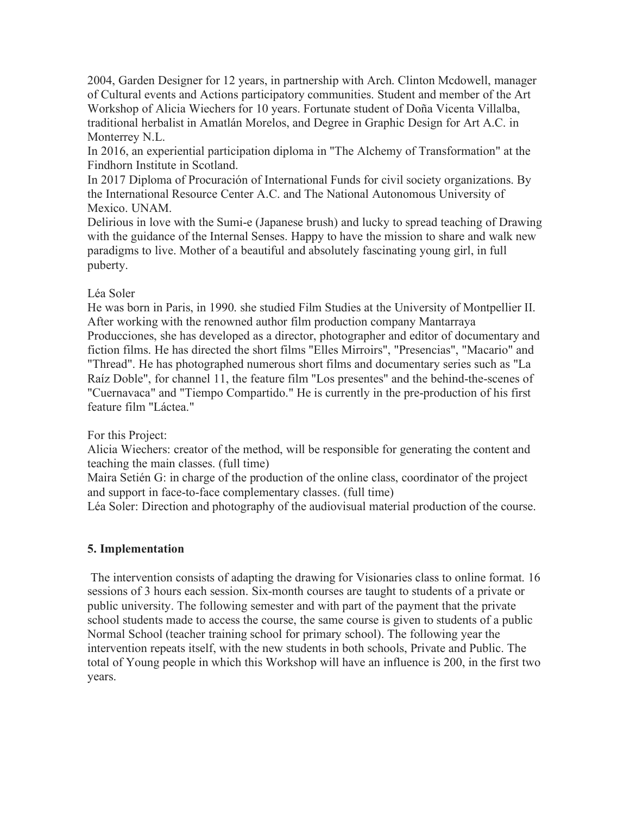2004, Garden Designer for 12 years, in partnership with Arch. Clinton Mcdowell, manager of Cultural events and Actions participatory communities. Student and member of the Art Workshop of Alicia Wiechers for 10 years. Fortunate student of Doña Vicenta Villalba, traditional herbalist in Amatlán Morelos, and Degree in Graphic Design for Art A.C. in Monterrey N.L.

In 2016, an experiential participation diploma in "The Alchemy of Transformation" at the Findhorn Institute in Scotland.

In 2017 Diploma of Procuración of International Funds for civil society organizations. By the International Resource Center A.C. and The National Autonomous University of Mexico. UNAM.

Delirious in love with the Sumi-e (Japanese brush) and lucky to spread teaching of Drawing with the guidance of the Internal Senses. Happy to have the mission to share and walk new paradigms to live. Mother of a beautiful and absolutely fascinating young girl, in full puberty.

# Léa Soler

He was born in Paris, in 1990. she studied Film Studies at the University of Montpellier II. After working with the renowned author film production company Mantarraya Producciones, she has developed as a director, photographer and editor of documentary and fiction films. He has directed the short films "Elles Mirroirs", "Presencias", "Macario" and "Thread". He has photographed numerous short films and documentary series such as "La Raíz Doble", for channel 11, the feature film "Los presentes" and the behind-the-scenes of "Cuernavaca" and "Tiempo Compartido." He is currently in the pre-production of his first feature film "Láctea."

# For this Project:

Alicia Wiechers: creator of the method, will be responsible for generating the content and teaching the main classes. (full time)

Maira Setién G: in charge of the production of the online class, coordinator of the project and support in face-to-face complementary classes. (full time)

Léa Soler: Direction and photography of the audiovisual material production of the course.

# **5. Implementation**

The intervention consists of adapting the drawing for Visionaries class to online format. 16 sessions of 3 hours each session. Six-month courses are taught to students of a private or public university. The following semester and with part of the payment that the private school students made to access the course, the same course is given to students of a public Normal School (teacher training school for primary school). The following year the intervention repeats itself, with the new students in both schools, Private and Public. The total of Young people in which this Workshop will have an influence is 200, in the first two years.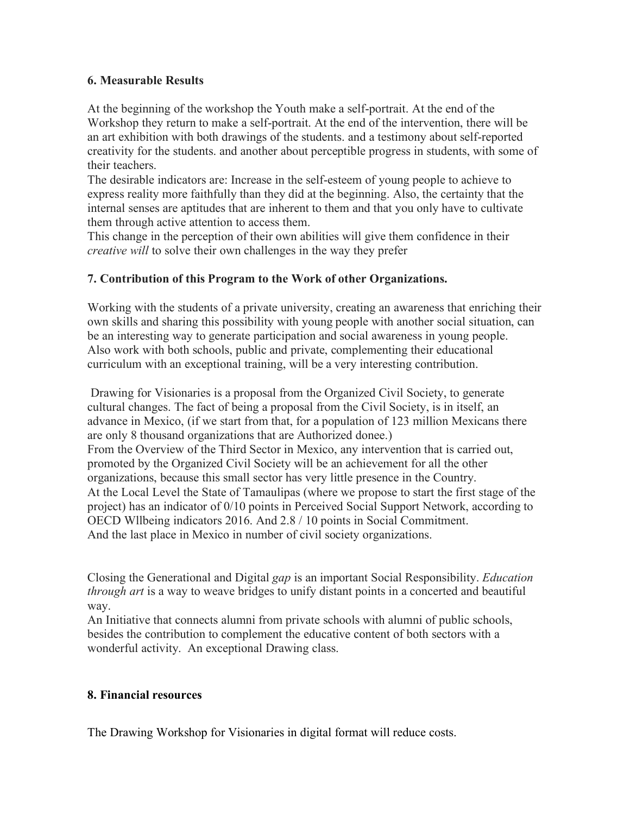# **6. Measurable Results**

At the beginning of the workshop the Youth make a self-portrait. At the end of the Workshop they return to make a self-portrait. At the end of the intervention, there will be an art exhibition with both drawings of the students. and a testimony about self-reported creativity for the students. and another about perceptible progress in students, with some of their teachers.

The desirable indicators are: Increase in the self-esteem of young people to achieve to express reality more faithfully than they did at the beginning. Also, the certainty that the internal senses are aptitudes that are inherent to them and that you only have to cultivate them through active attention to access them.

This change in the perception of their own abilities will give them confidence in their *creative will* to solve their own challenges in the way they prefer

# **7. Contribution of this Program to the Work of other Organizations.**

Working with the students of a private university, creating an awareness that enriching their own skills and sharing this possibility with young people with another social situation, can be an interesting way to generate participation and social awareness in young people. Also work with both schools, public and private, complementing their educational curriculum with an exceptional training, will be a very interesting contribution.

Drawing for Visionaries is a proposal from the Organized Civil Society, to generate cultural changes. The fact of being a proposal from the Civil Society, is in itself, an advance in Mexico, (if we start from that, for a population of 123 million Mexicans there are only 8 thousand organizations that are Authorized donee.) From the Overview of the Third Sector in Mexico, any intervention that is carried out, promoted by the Organized Civil Society will be an achievement for all the other organizations, because this small sector has very little presence in the Country. At the Local Level the State of Tamaulipas (where we propose to start the first stage of the project) has an indicator of 0/10 points in Perceived Social Support Network, according to OECD Wllbeing indicators 2016. And 2.8 / 10 points in Social Commitment. And the last place in Mexico in number of civil society organizations.

Closing the Generational and Digital *gap* is an important Social Responsibility. *Education through art* is a way to weave bridges to unify distant points in a concerted and beautiful way.

An Initiative that connects alumni from private schools with alumni of public schools, besides the contribution to complement the educative content of both sectors with a wonderful activity. An exceptional Drawing class.

# **8. Financial resources**

The Drawing Workshop for Visionaries in digital format will reduce costs.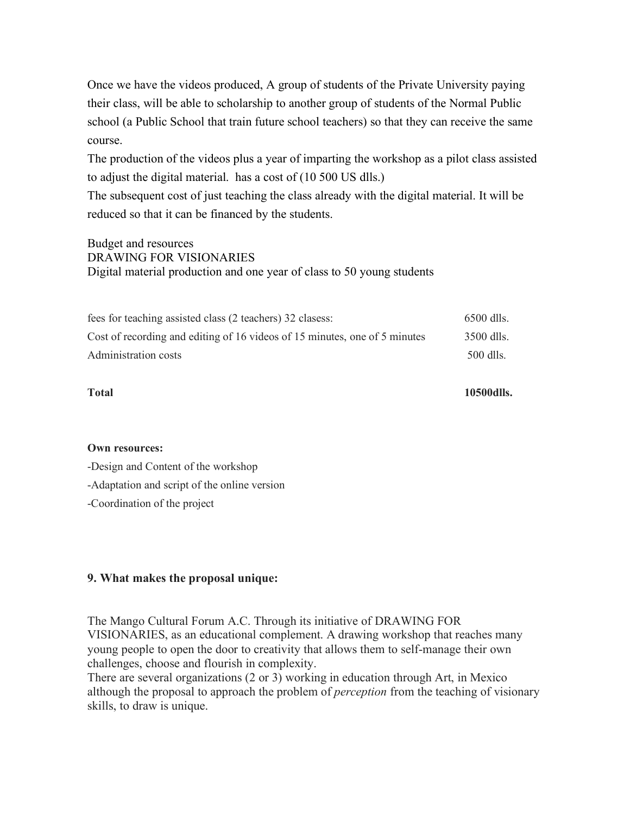Once we have the videos produced, A group of students of the Private University paying their class, will be able to scholarship to another group of students of the Normal Public school (a Public School that train future school teachers) so that they can receive the same course.

The production of the videos plus a year of imparting the workshop as a pilot class assisted to adjust the digital material. has a cost of (10 500 US dlls.)

The subsequent cost of just teaching the class already with the digital material. It will be reduced so that it can be financed by the students.

Budget and resources DRAWING FOR VISIONARIES Digital material production and one year of class to 50 young students

| fees for teaching assisted class (2 teachers) 32 clasess:                  | $6500$ dlls. |
|----------------------------------------------------------------------------|--------------|
| Cost of recording and editing of 16 videos of 15 minutes, one of 5 minutes | 3500 dlls.   |
| Administration costs                                                       | 500 dlls.    |

**Total 10500dlls.**

#### **Own resources:**

-Design and Content of the workshop

-Adaptation and script of the online version

-Coordination of the project

#### **9. What makes the proposal unique:**

The Mango Cultural Forum A.C. Through its initiative of DRAWING FOR VISIONARIES, as an educational complement. A drawing workshop that reaches many young people to open the door to creativity that allows them to self-manage their own challenges, choose and flourish in complexity.

There are several organizations (2 or 3) working in education through Art, in Mexico although the proposal to approach the problem of *perception* from the teaching of visionary skills, to draw is unique.